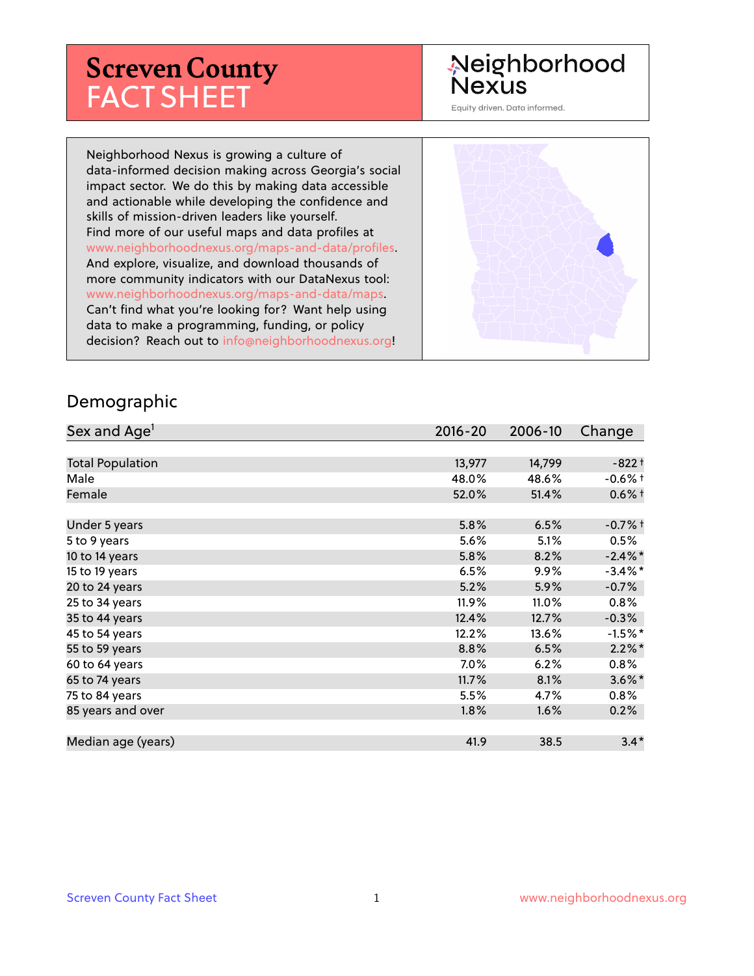# **Screven County** FACT SHEET

# Neighborhood **Nexus**

Equity driven. Data informed.

Neighborhood Nexus is growing a culture of data-informed decision making across Georgia's social impact sector. We do this by making data accessible and actionable while developing the confidence and skills of mission-driven leaders like yourself. Find more of our useful maps and data profiles at www.neighborhoodnexus.org/maps-and-data/profiles. And explore, visualize, and download thousands of more community indicators with our DataNexus tool: www.neighborhoodnexus.org/maps-and-data/maps. Can't find what you're looking for? Want help using data to make a programming, funding, or policy decision? Reach out to [info@neighborhoodnexus.org!](mailto:info@neighborhoodnexus.org)



#### Demographic

| Sex and Age <sup>1</sup> | $2016 - 20$ | 2006-10 | Change     |
|--------------------------|-------------|---------|------------|
|                          |             |         |            |
| <b>Total Population</b>  | 13,977      | 14,799  | $-822+$    |
| Male                     | 48.0%       | 48.6%   | $-0.6\%$ t |
| Female                   | 52.0%       | 51.4%   | $0.6%$ †   |
|                          |             |         |            |
| Under 5 years            | 5.8%        | 6.5%    | $-0.7%$ †  |
| 5 to 9 years             | 5.6%        | 5.1%    | $0.5\%$    |
| 10 to 14 years           | 5.8%        | 8.2%    | $-2.4\%$ * |
| 15 to 19 years           | 6.5%        | $9.9\%$ | $-3.4\%$ * |
| 20 to 24 years           | 5.2%        | 5.9%    | $-0.7%$    |
| 25 to 34 years           | 11.9%       | 11.0%   | $0.8\%$    |
| 35 to 44 years           | 12.4%       | 12.7%   | $-0.3%$    |
| 45 to 54 years           | 12.2%       | 13.6%   | $-1.5%$ *  |
| 55 to 59 years           | 8.8%        | 6.5%    | $2.2\%$ *  |
| 60 to 64 years           | 7.0%        | 6.2%    | 0.8%       |
| 65 to 74 years           | 11.7%       | 8.1%    | $3.6\%$ *  |
| 75 to 84 years           | 5.5%        | 4.7%    | $0.8\%$    |
| 85 years and over        | $1.8\%$     | 1.6%    | 0.2%       |
|                          |             |         |            |
| Median age (years)       | 41.9        | 38.5    | $3.4*$     |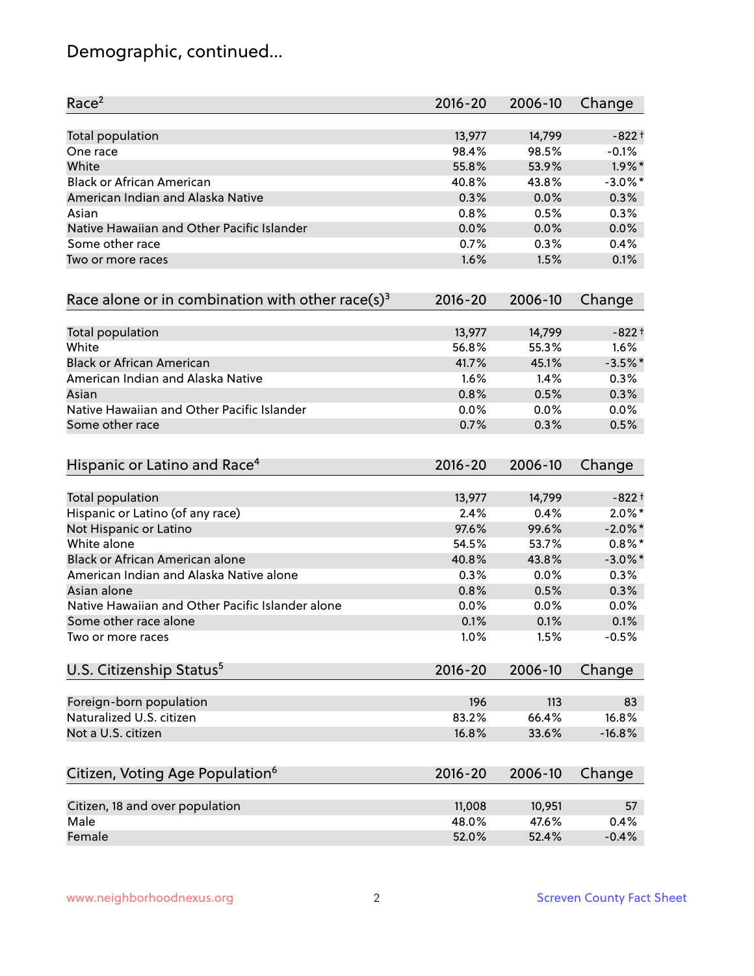# Demographic, continued...

| Race <sup>2</sup>                                            | 2016-20     | 2006-10 | Change     |
|--------------------------------------------------------------|-------------|---------|------------|
| <b>Total population</b>                                      | 13,977      | 14,799  | $-822+$    |
| One race                                                     | 98.4%       | 98.5%   | $-0.1%$    |
| White                                                        | 55.8%       | 53.9%   | $1.9\%$ *  |
| <b>Black or African American</b>                             | 40.8%       | 43.8%   | $-3.0\%$ * |
| American Indian and Alaska Native                            | 0.3%        | 0.0%    | 0.3%       |
| Asian                                                        | 0.8%        | 0.5%    | 0.3%       |
| Native Hawaiian and Other Pacific Islander                   | 0.0%        | 0.0%    | 0.0%       |
| Some other race                                              | 0.7%        | 0.3%    | 0.4%       |
| Two or more races                                            | 1.6%        | 1.5%    | 0.1%       |
| Race alone or in combination with other race(s) <sup>3</sup> | $2016 - 20$ | 2006-10 | Change     |
| Total population                                             | 13,977      | 14,799  | $-822+$    |
| White                                                        | 56.8%       | 55.3%   | 1.6%       |
| <b>Black or African American</b>                             | 41.7%       | 45.1%   | $-3.5%$ *  |
| American Indian and Alaska Native                            | 1.6%        | 1.4%    | 0.3%       |
| Asian                                                        | 0.8%        | 0.5%    | 0.3%       |
| Native Hawaiian and Other Pacific Islander                   | 0.0%        | 0.0%    | 0.0%       |
| Some other race                                              | 0.7%        | 0.3%    | 0.5%       |
| Hispanic or Latino and Race <sup>4</sup>                     | $2016 - 20$ | 2006-10 | Change     |
| <b>Total population</b>                                      | 13,977      | 14,799  | $-822+$    |
| Hispanic or Latino (of any race)                             | 2.4%        | 0.4%    | $2.0\%$ *  |
| Not Hispanic or Latino                                       | 97.6%       | 99.6%   | $-2.0\%$ * |
| White alone                                                  | 54.5%       | 53.7%   | $0.8\%$ *  |
| Black or African American alone                              | 40.8%       | 43.8%   | $-3.0\%$ * |
| American Indian and Alaska Native alone                      | 0.3%        | 0.0%    | 0.3%       |
| Asian alone                                                  | 0.8%        | 0.5%    | 0.3%       |
| Native Hawaiian and Other Pacific Islander alone             | 0.0%        | 0.0%    | 0.0%       |
| Some other race alone                                        | 0.1%        | 0.1%    | 0.1%       |
| Two or more races                                            | 1.0%        | 1.5%    | $-0.5%$    |
| U.S. Citizenship Status <sup>5</sup>                         | $2016 - 20$ | 2006-10 | Change     |
| Foreign-born population                                      | 196         | 113     | 83         |
| Naturalized U.S. citizen                                     | 83.2%       | 66.4%   | 16.8%      |
| Not a U.S. citizen                                           | 16.8%       | 33.6%   | $-16.8%$   |
|                                                              |             |         |            |
| Citizen, Voting Age Population <sup>6</sup>                  | $2016 - 20$ | 2006-10 | Change     |
| Citizen, 18 and over population                              | 11,008      | 10,951  | 57         |
| Male                                                         | 48.0%       | 47.6%   | 0.4%       |
| Female                                                       | 52.0%       | 52.4%   | $-0.4%$    |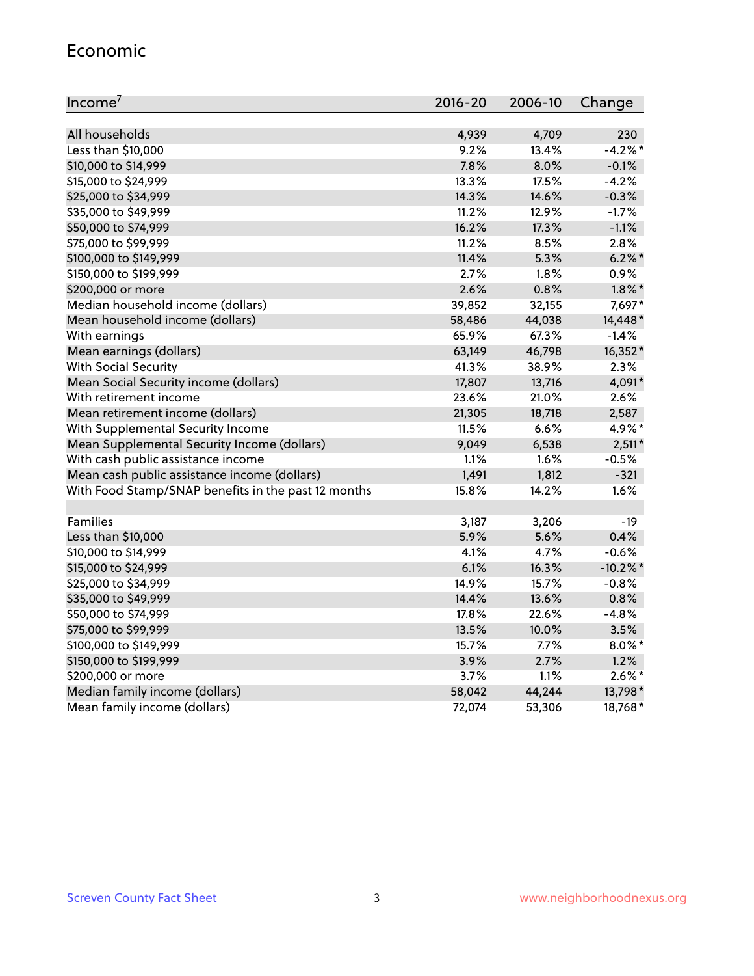#### Economic

| Income <sup>7</sup>                                 | $2016 - 20$ | 2006-10 | Change    |
|-----------------------------------------------------|-------------|---------|-----------|
|                                                     |             |         |           |
| All households                                      | 4,939       | 4,709   | 230       |
| Less than \$10,000                                  | 9.2%        | 13.4%   | $-4.2%$   |
| \$10,000 to \$14,999                                | 7.8%        | 8.0%    | $-0.1%$   |
| \$15,000 to \$24,999                                | 13.3%       | 17.5%   | $-4.2%$   |
| \$25,000 to \$34,999                                | 14.3%       | 14.6%   | $-0.3%$   |
| \$35,000 to \$49,999                                | 11.2%       | 12.9%   | $-1.7%$   |
| \$50,000 to \$74,999                                | 16.2%       | 17.3%   | $-1.1%$   |
| \$75,000 to \$99,999                                | 11.2%       | 8.5%    | 2.8%      |
| \$100,000 to \$149,999                              | 11.4%       | 5.3%    | $6.2\%$ * |
| \$150,000 to \$199,999                              | 2.7%        | 1.8%    | 0.9%      |
| \$200,000 or more                                   | 2.6%        | 0.8%    | $1.8\%$ * |
| Median household income (dollars)                   | 39,852      | 32,155  | 7,697*    |
| Mean household income (dollars)                     | 58,486      | 44,038  | 14,448*   |
| With earnings                                       | 65.9%       | 67.3%   | $-1.4%$   |
| Mean earnings (dollars)                             | 63,149      | 46,798  | 16,352*   |
| <b>With Social Security</b>                         | 41.3%       | 38.9%   | 2.3%      |
| Mean Social Security income (dollars)               | 17,807      | 13,716  | 4,091*    |
| With retirement income                              | 23.6%       | 21.0%   | 2.6%      |
| Mean retirement income (dollars)                    | 21,305      | 18,718  | 2,587     |
| With Supplemental Security Income                   | 11.5%       | 6.6%    | 4.9%*     |
| Mean Supplemental Security Income (dollars)         | 9,049       | 6,538   | $2,511*$  |
| With cash public assistance income                  | 1.1%        | 1.6%    | $-0.5%$   |
| Mean cash public assistance income (dollars)        | 1,491       | 1,812   | $-321$    |
| With Food Stamp/SNAP benefits in the past 12 months | 15.8%       | 14.2%   | 1.6%      |
|                                                     |             |         |           |
| Families                                            | 3,187       | 3,206   | $-19$     |
| Less than \$10,000                                  | 5.9%        | 5.6%    | 0.4%      |
| \$10,000 to \$14,999                                | 4.1%        | 4.7%    | $-0.6%$   |
| \$15,000 to \$24,999                                | 6.1%        | 16.3%   | $-10.2%$  |
| \$25,000 to \$34,999                                | 14.9%       | 15.7%   | $-0.8%$   |
| \$35,000 to \$49,999                                | 14.4%       | 13.6%   | 0.8%      |
| \$50,000 to \$74,999                                | 17.8%       | 22.6%   | $-4.8%$   |
| \$75,000 to \$99,999                                | 13.5%       | 10.0%   | 3.5%      |
| \$100,000 to \$149,999                              | 15.7%       | $7.7\%$ | $8.0\%$ * |
| \$150,000 to \$199,999                              | 3.9%        | 2.7%    | 1.2%      |
| \$200,000 or more                                   | 3.7%        | 1.1%    | $2.6\%$ * |
| Median family income (dollars)                      | 58,042      | 44,244  | 13,798*   |
| Mean family income (dollars)                        | 72,074      | 53,306  | 18,768*   |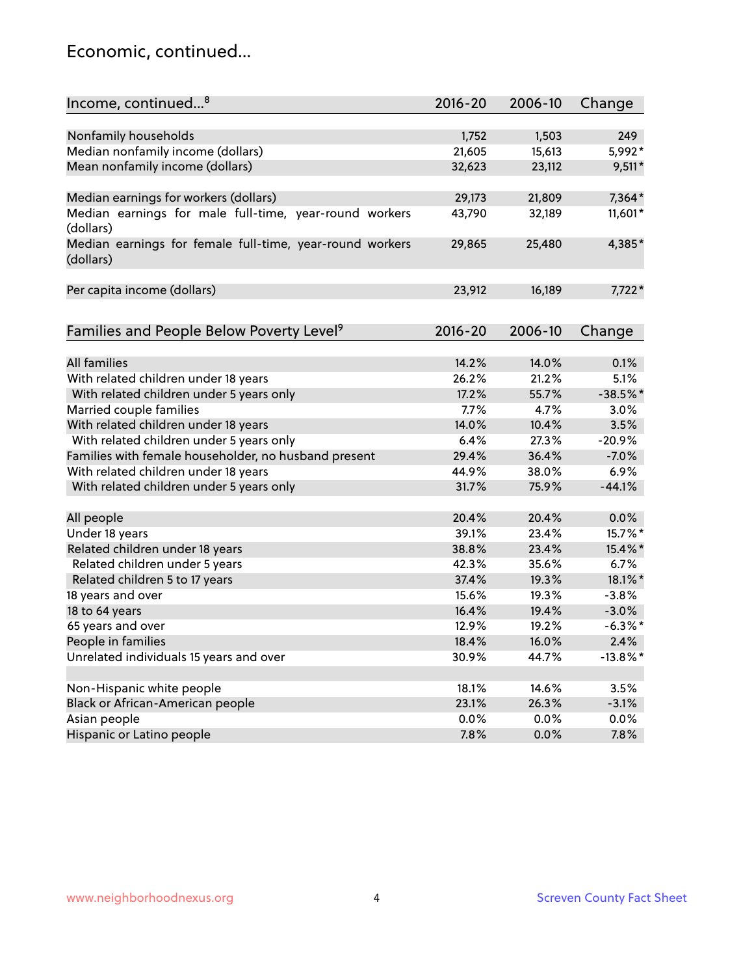# Economic, continued...

| Income, continued <sup>8</sup>                                        | $2016 - 20$ | 2006-10 | Change      |
|-----------------------------------------------------------------------|-------------|---------|-------------|
|                                                                       |             |         |             |
| Nonfamily households                                                  | 1,752       | 1,503   | 249         |
| Median nonfamily income (dollars)                                     | 21,605      | 15,613  | 5,992*      |
| Mean nonfamily income (dollars)                                       | 32,623      | 23,112  | $9,511*$    |
| Median earnings for workers (dollars)                                 | 29,173      | 21,809  | 7,364*      |
| Median earnings for male full-time, year-round workers<br>(dollars)   | 43,790      | 32,189  | 11,601*     |
| Median earnings for female full-time, year-round workers<br>(dollars) | 29,865      | 25,480  | 4,385*      |
| Per capita income (dollars)                                           | 23,912      | 16,189  | 7,722*      |
| Families and People Below Poverty Level <sup>9</sup>                  | $2016 - 20$ | 2006-10 | Change      |
|                                                                       |             |         |             |
| <b>All families</b>                                                   | 14.2%       | 14.0%   | 0.1%        |
| With related children under 18 years                                  | 26.2%       | 21.2%   | 5.1%        |
| With related children under 5 years only                              | 17.2%       | 55.7%   | $-38.5%$ *  |
| Married couple families                                               | 7.7%        | 4.7%    | 3.0%        |
| With related children under 18 years                                  | 14.0%       | 10.4%   | 3.5%        |
| With related children under 5 years only                              | 6.4%        | 27.3%   | $-20.9%$    |
| Families with female householder, no husband present                  | 29.4%       | 36.4%   | $-7.0%$     |
| With related children under 18 years                                  | 44.9%       | 38.0%   | 6.9%        |
| With related children under 5 years only                              | 31.7%       | 75.9%   | $-44.1%$    |
|                                                                       |             |         |             |
| All people                                                            | 20.4%       | 20.4%   | 0.0%        |
| Under 18 years                                                        | 39.1%       | 23.4%   | 15.7%*      |
| Related children under 18 years                                       | 38.8%       | 23.4%   | 15.4%*      |
| Related children under 5 years                                        | 42.3%       | 35.6%   | 6.7%        |
| Related children 5 to 17 years                                        | 37.4%       | 19.3%   | 18.1%*      |
| 18 years and over                                                     | 15.6%       | 19.3%   | $-3.8%$     |
| 18 to 64 years                                                        | 16.4%       | 19.4%   | $-3.0%$     |
| 65 years and over                                                     | 12.9%       | 19.2%   | $-6.3\%$ *  |
| People in families                                                    | 18.4%       | 16.0%   | 2.4%        |
| Unrelated individuals 15 years and over                               | 30.9%       | 44.7%   | $-13.8\%$ * |
|                                                                       |             |         |             |
| Non-Hispanic white people                                             | 18.1%       | 14.6%   | 3.5%        |
| Black or African-American people                                      | 23.1%       | 26.3%   | $-3.1%$     |
| Asian people                                                          | $0.0\%$     | 0.0%    | 0.0%        |
| Hispanic or Latino people                                             | 7.8%        | 0.0%    | 7.8%        |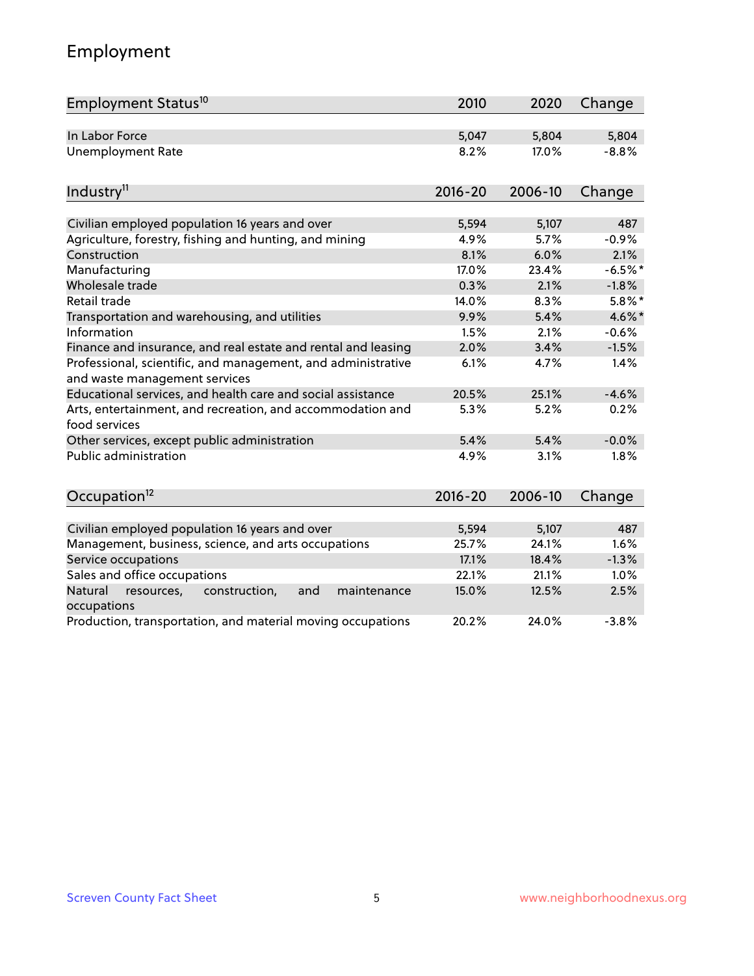# Employment

| Employment Status <sup>10</sup>                                                               | 2010        | 2020    | Change    |
|-----------------------------------------------------------------------------------------------|-------------|---------|-----------|
| In Labor Force                                                                                | 5,047       | 5,804   | 5,804     |
| <b>Unemployment Rate</b>                                                                      | 8.2%        | 17.0%   | $-8.8%$   |
| Industry <sup>11</sup>                                                                        | $2016 - 20$ | 2006-10 | Change    |
| Civilian employed population 16 years and over                                                | 5,594       | 5,107   | 487       |
| Agriculture, forestry, fishing and hunting, and mining                                        | 4.9%        | 5.7%    | $-0.9%$   |
| Construction                                                                                  | 8.1%        | 6.0%    | 2.1%      |
| Manufacturing                                                                                 | 17.0%       | 23.4%   | $-6.5%$ * |
| Wholesale trade                                                                               | 0.3%        | 2.1%    | $-1.8%$   |
| Retail trade                                                                                  | 14.0%       | 8.3%    | $5.8\%$ * |
| Transportation and warehousing, and utilities                                                 | 9.9%        | 5.4%    | 4.6%*     |
| Information                                                                                   | 1.5%        | 2.1%    | $-0.6%$   |
| Finance and insurance, and real estate and rental and leasing                                 | 2.0%        | 3.4%    | $-1.5%$   |
| Professional, scientific, and management, and administrative<br>and waste management services | 6.1%        | 4.7%    | 1.4%      |
| Educational services, and health care and social assistance                                   | 20.5%       | 25.1%   | $-4.6%$   |
| Arts, entertainment, and recreation, and accommodation and<br>food services                   | 5.3%        | 5.2%    | 0.2%      |
| Other services, except public administration                                                  | 5.4%        | 5.4%    | $-0.0%$   |
| <b>Public administration</b>                                                                  | 4.9%        | 3.1%    | 1.8%      |
| Occupation <sup>12</sup>                                                                      | $2016 - 20$ | 2006-10 | Change    |
|                                                                                               |             |         |           |
| Civilian employed population 16 years and over                                                | 5,594       | 5,107   | 487       |
| Management, business, science, and arts occupations                                           | 25.7%       | 24.1%   | 1.6%      |
| Service occupations                                                                           | 17.1%       | 18.4%   | $-1.3%$   |
| Sales and office occupations                                                                  | 22.1%       | 21.1%   | 1.0%      |
| Natural<br>resources,<br>construction,<br>and<br>maintenance<br>occupations                   | 15.0%       | 12.5%   | 2.5%      |
| Production, transportation, and material moving occupations                                   | 20.2%       | 24.0%   | $-3.8%$   |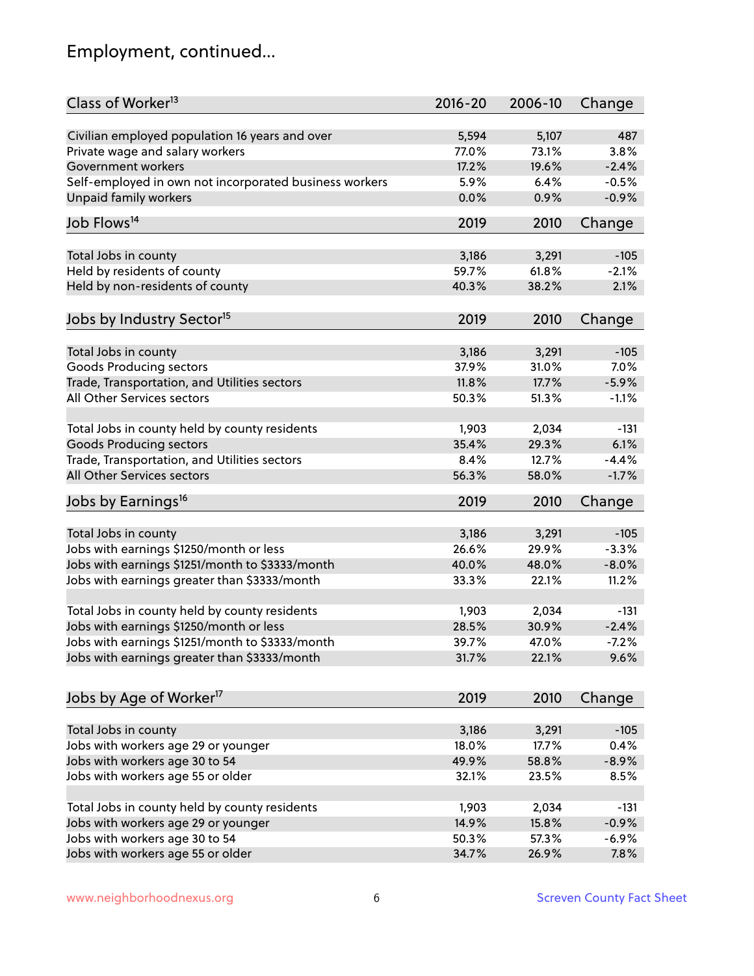# Employment, continued...

| Class of Worker <sup>13</sup>                          | $2016 - 20$ | 2006-10 | Change  |
|--------------------------------------------------------|-------------|---------|---------|
| Civilian employed population 16 years and over         | 5,594       | 5,107   | 487     |
| Private wage and salary workers                        | 77.0%       | 73.1%   | 3.8%    |
| Government workers                                     | 17.2%       | 19.6%   | $-2.4%$ |
| Self-employed in own not incorporated business workers | 5.9%        | 6.4%    | $-0.5%$ |
| <b>Unpaid family workers</b>                           | 0.0%        | 0.9%    | $-0.9%$ |
|                                                        |             |         |         |
| Job Flows <sup>14</sup>                                | 2019        | 2010    | Change  |
|                                                        | 3,186       | 3,291   | $-105$  |
| Total Jobs in county<br>Held by residents of county    | 59.7%       | 61.8%   | $-2.1%$ |
|                                                        |             |         |         |
| Held by non-residents of county                        | 40.3%       | 38.2%   | 2.1%    |
| Jobs by Industry Sector <sup>15</sup>                  | 2019        | 2010    | Change  |
| Total Jobs in county                                   | 3,186       | 3,291   | $-105$  |
| Goods Producing sectors                                | 37.9%       | 31.0%   | 7.0%    |
| Trade, Transportation, and Utilities sectors           | 11.8%       | 17.7%   | $-5.9%$ |
| All Other Services sectors                             | 50.3%       | 51.3%   | $-1.1%$ |
|                                                        |             |         |         |
| Total Jobs in county held by county residents          | 1,903       | 2,034   | $-131$  |
| <b>Goods Producing sectors</b>                         | 35.4%       | 29.3%   | 6.1%    |
| Trade, Transportation, and Utilities sectors           | 8.4%        | 12.7%   | $-4.4%$ |
| All Other Services sectors                             | 56.3%       | 58.0%   | $-1.7%$ |
| Jobs by Earnings <sup>16</sup>                         | 2019        | 2010    | Change  |
|                                                        |             |         |         |
| Total Jobs in county                                   | 3,186       | 3,291   | $-105$  |
| Jobs with earnings \$1250/month or less                | 26.6%       | 29.9%   | $-3.3%$ |
| Jobs with earnings \$1251/month to \$3333/month        | 40.0%       | 48.0%   | $-8.0%$ |
| Jobs with earnings greater than \$3333/month           | 33.3%       | 22.1%   | 11.2%   |
| Total Jobs in county held by county residents          | 1,903       | 2,034   | $-131$  |
| Jobs with earnings \$1250/month or less                | 28.5%       | 30.9%   | $-2.4%$ |
| Jobs with earnings \$1251/month to \$3333/month        | 39.7%       | 47.0%   | -7.2%   |
| Jobs with earnings greater than \$3333/month           | 31.7%       | 22.1%   | 9.6%    |
|                                                        |             |         |         |
| Jobs by Age of Worker <sup>17</sup>                    | 2019        | 2010    | Change  |
| Total Jobs in county                                   | 3,186       | 3,291   | $-105$  |
| Jobs with workers age 29 or younger                    | 18.0%       | 17.7%   | 0.4%    |
| Jobs with workers age 30 to 54                         | 49.9%       | 58.8%   | $-8.9%$ |
| Jobs with workers age 55 or older                      | 32.1%       | 23.5%   | 8.5%    |
|                                                        |             |         |         |
| Total Jobs in county held by county residents          | 1,903       | 2,034   | $-131$  |
| Jobs with workers age 29 or younger                    | 14.9%       | 15.8%   | $-0.9%$ |
| Jobs with workers age 30 to 54                         | 50.3%       | 57.3%   | $-6.9%$ |
| Jobs with workers age 55 or older                      | 34.7%       | 26.9%   | 7.8%    |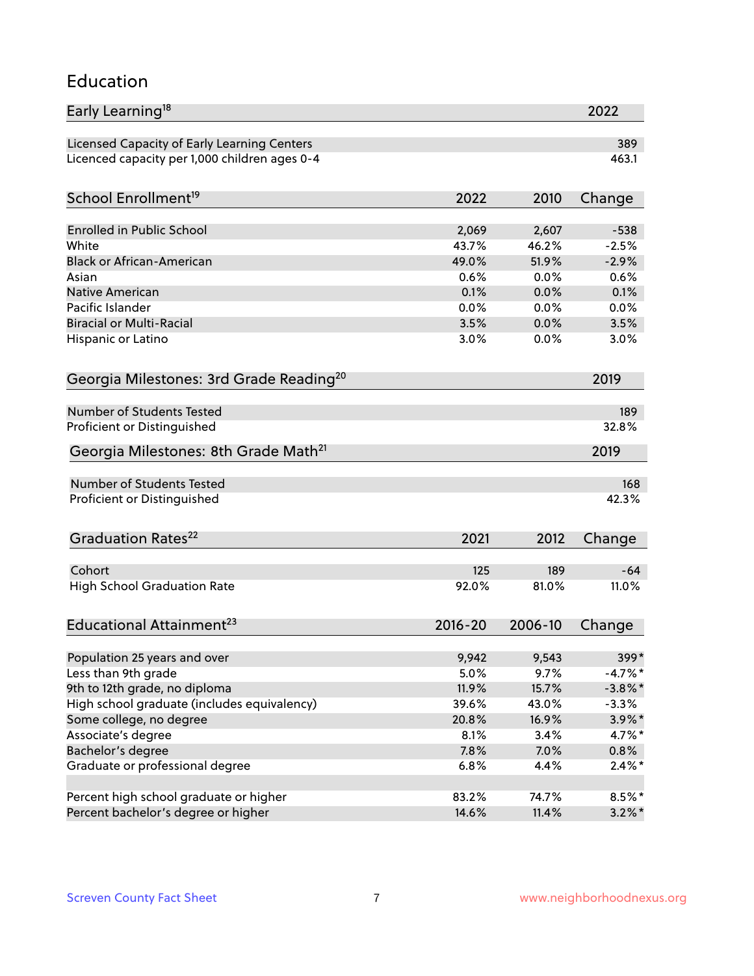### Education

| Early Learning <sup>18</sup>                        |             |         | 2022       |
|-----------------------------------------------------|-------------|---------|------------|
| Licensed Capacity of Early Learning Centers         |             |         | 389        |
| Licenced capacity per 1,000 children ages 0-4       |             |         | 463.1      |
| School Enrollment <sup>19</sup>                     | 2022        | 2010    | Change     |
|                                                     |             |         |            |
| <b>Enrolled in Public School</b>                    | 2,069       | 2,607   | $-538$     |
| White                                               | 43.7%       | 46.2%   | $-2.5%$    |
| <b>Black or African-American</b>                    | 49.0%       | 51.9%   | $-2.9%$    |
| Asian                                               | 0.6%        | 0.0%    | 0.6%       |
| <b>Native American</b>                              | 0.1%        | 0.0%    | 0.1%       |
| Pacific Islander                                    | 0.0%        | 0.0%    | 0.0%       |
| <b>Biracial or Multi-Racial</b>                     | 3.5%        | 0.0%    | 3.5%       |
| Hispanic or Latino                                  | 3.0%        | 0.0%    | 3.0%       |
| Georgia Milestones: 3rd Grade Reading <sup>20</sup> |             |         | 2019       |
|                                                     |             |         |            |
| Number of Students Tested                           |             |         | 189        |
| Proficient or Distinguished                         |             |         | 32.8%      |
| Georgia Milestones: 8th Grade Math <sup>21</sup>    |             |         | 2019       |
| <b>Number of Students Tested</b>                    |             |         | 168        |
| Proficient or Distinguished                         |             |         | 42.3%      |
| Graduation Rates <sup>22</sup>                      | 2021        | 2012    | Change     |
|                                                     |             |         |            |
| Cohort                                              | 125         | 189     | $-64$      |
| <b>High School Graduation Rate</b>                  | 92.0%       | 81.0%   | 11.0%      |
| Educational Attainment <sup>23</sup>                | $2016 - 20$ | 2006-10 | Change     |
|                                                     |             |         |            |
| Population 25 years and over                        | 9,942       | 9,543   | 399*       |
| Less than 9th grade                                 | 5.0%        | 9.7%    | $-4.7%$ *  |
| 9th to 12th grade, no diploma                       | 11.9%       | 15.7%   | $-3.8\%$ * |
| High school graduate (includes equivalency)         | 39.6%       | 43.0%   | $-3.3%$    |
| Some college, no degree                             | 20.8%       | 16.9%   | 3.9%*      |
| Associate's degree                                  | 8.1%        | 3.4%    | 4.7%*      |
| Bachelor's degree                                   | 7.8%        | 7.0%    | 0.8%       |
| Graduate or professional degree                     | 6.8%        | 4.4%    | $2.4\%$ *  |
| Percent high school graduate or higher              | 83.2%       | 74.7%   | 8.5%*      |
| Percent bachelor's degree or higher                 | 14.6%       | 11.4%   | $3.2\%$ *  |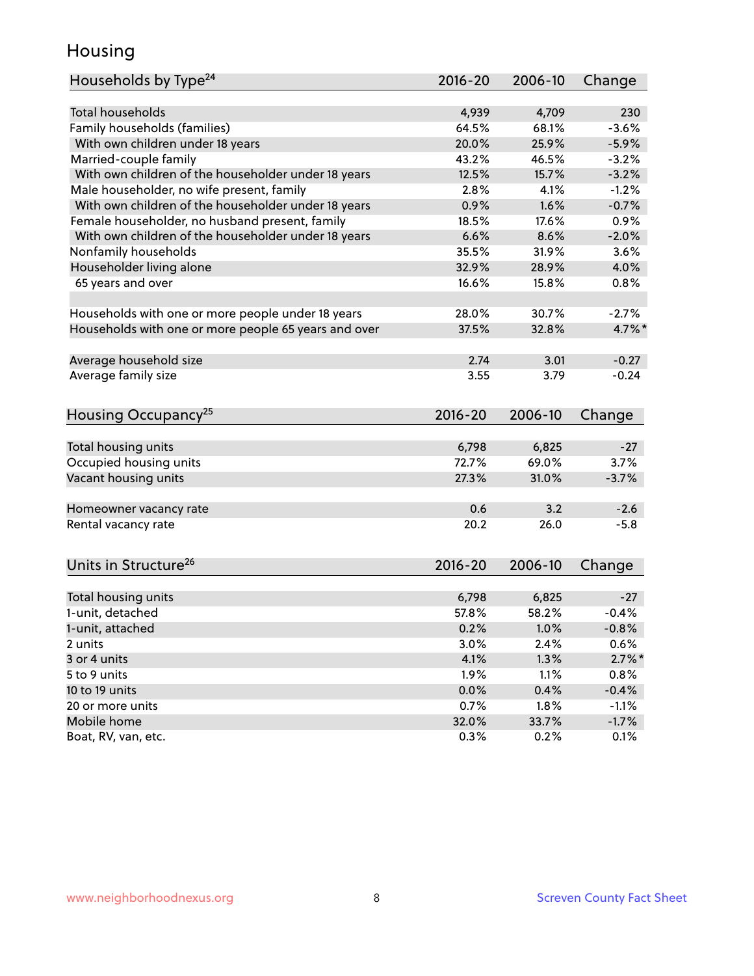# Housing

| Households by Type <sup>24</sup>                     | 2016-20     | 2006-10 | Change    |
|------------------------------------------------------|-------------|---------|-----------|
|                                                      |             |         |           |
| <b>Total households</b>                              | 4,939       | 4,709   | 230       |
| Family households (families)                         | 64.5%       | 68.1%   | $-3.6%$   |
| With own children under 18 years                     | 20.0%       | 25.9%   | $-5.9%$   |
| Married-couple family                                | 43.2%       | 46.5%   | $-3.2%$   |
| With own children of the householder under 18 years  | 12.5%       | 15.7%   | $-3.2%$   |
| Male householder, no wife present, family            | 2.8%        | 4.1%    | $-1.2%$   |
| With own children of the householder under 18 years  | 0.9%        | 1.6%    | $-0.7%$   |
| Female householder, no husband present, family       | 18.5%       | 17.6%   | 0.9%      |
| With own children of the householder under 18 years  | 6.6%        | 8.6%    | $-2.0%$   |
| Nonfamily households                                 | 35.5%       | 31.9%   | 3.6%      |
| Householder living alone                             | 32.9%       | 28.9%   | 4.0%      |
| 65 years and over                                    | 16.6%       | 15.8%   | 0.8%      |
| Households with one or more people under 18 years    | 28.0%       | 30.7%   | $-2.7%$   |
| Households with one or more people 65 years and over | 37.5%       | 32.8%   | 4.7%*     |
|                                                      |             |         |           |
| Average household size                               | 2.74        | 3.01    | $-0.27$   |
| Average family size                                  | 3.55        | 3.79    | $-0.24$   |
| Housing Occupancy <sup>25</sup>                      | $2016 - 20$ | 2006-10 | Change    |
|                                                      |             |         |           |
| Total housing units                                  | 6,798       | 6,825   | $-27$     |
| Occupied housing units                               | 72.7%       | 69.0%   | 3.7%      |
| Vacant housing units                                 | 27.3%       | 31.0%   | $-3.7%$   |
| Homeowner vacancy rate                               | 0.6         | 3.2     | $-2.6$    |
| Rental vacancy rate                                  | 20.2        | 26.0    | $-5.8$    |
|                                                      |             |         |           |
| Units in Structure <sup>26</sup>                     | 2016-20     | 2006-10 | Change    |
| Total housing units                                  | 6,798       | 6,825   | $-27$     |
| 1-unit, detached                                     | 57.8%       | 58.2%   | $-0.4%$   |
| 1-unit, attached                                     | 0.2%        | 1.0%    | $-0.8%$   |
| 2 units                                              | 3.0%        | 2.4%    | 0.6%      |
| 3 or 4 units                                         | 4.1%        | 1.3%    | $2.7\%$ * |
| 5 to 9 units                                         | 1.9%        | 1.1%    | 0.8%      |
| 10 to 19 units                                       | 0.0%        | 0.4%    | $-0.4%$   |
| 20 or more units                                     | 0.7%        | 1.8%    | $-1.1%$   |
| Mobile home                                          | 32.0%       | 33.7%   | $-1.7%$   |
| Boat, RV, van, etc.                                  | 0.3%        | 0.2%    | 0.1%      |
|                                                      |             |         |           |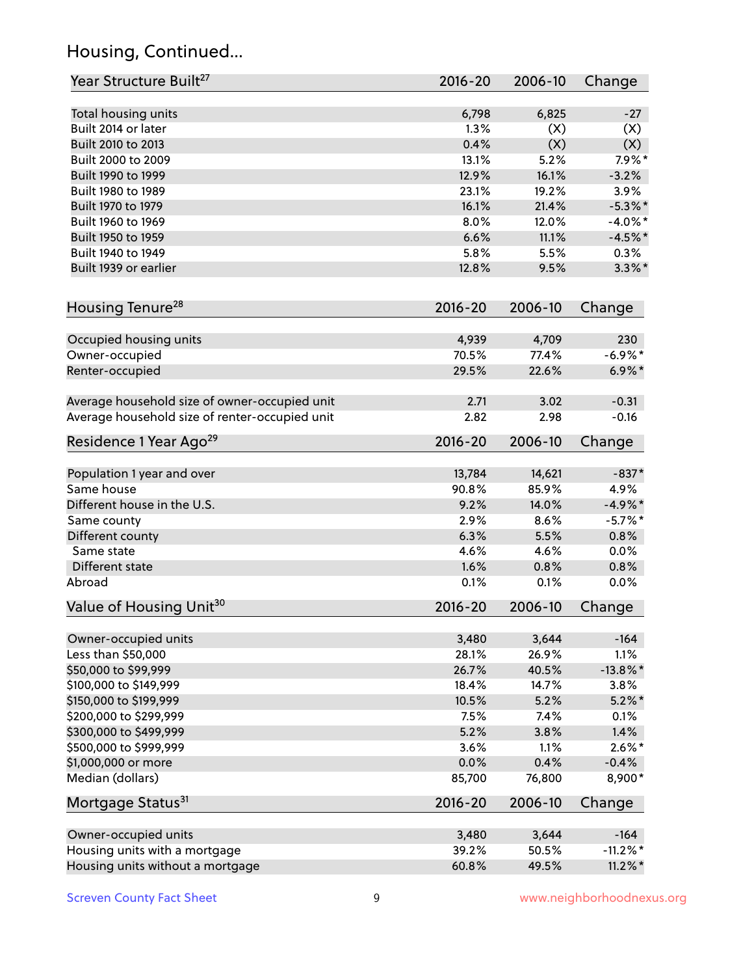# Housing, Continued...

| Year Structure Built <sup>27</sup>             | 2016-20     | 2006-10 | Change      |
|------------------------------------------------|-------------|---------|-------------|
| Total housing units                            | 6,798       | 6,825   | $-27$       |
| Built 2014 or later                            | 1.3%        | (X)     | (X)         |
| Built 2010 to 2013                             | 0.4%        | (X)     | (X)         |
| Built 2000 to 2009                             | 13.1%       | 5.2%    | $7.9\%$ *   |
| Built 1990 to 1999                             | 12.9%       | 16.1%   | $-3.2%$     |
| Built 1980 to 1989                             | 23.1%       | 19.2%   | 3.9%        |
| Built 1970 to 1979                             | 16.1%       | 21.4%   | $-5.3\%$ *  |
| Built 1960 to 1969                             | 8.0%        | 12.0%   | $-4.0\%$ *  |
| Built 1950 to 1959                             | 6.6%        | 11.1%   | $-4.5%$ *   |
| Built 1940 to 1949                             | 5.8%        | 5.5%    | 0.3%        |
| Built 1939 or earlier                          | 12.8%       | 9.5%    | $3.3\%$ *   |
|                                                |             |         |             |
| Housing Tenure <sup>28</sup>                   | $2016 - 20$ | 2006-10 | Change      |
| Occupied housing units                         | 4,939       | 4,709   | 230         |
| Owner-occupied                                 | 70.5%       | 77.4%   | $-6.9\%$ *  |
| Renter-occupied                                | 29.5%       | 22.6%   | $6.9\% *$   |
| Average household size of owner-occupied unit  | 2.71        | 3.02    | $-0.31$     |
| Average household size of renter-occupied unit | 2.82        | 2.98    | $-0.16$     |
| Residence 1 Year Ago <sup>29</sup>             | 2016-20     | 2006-10 | Change      |
| Population 1 year and over                     | 13,784      | 14,621  | $-837*$     |
| Same house                                     | 90.8%       | 85.9%   | 4.9%        |
| Different house in the U.S.                    | 9.2%        | 14.0%   | $-4.9\%*$   |
| Same county                                    | 2.9%        | 8.6%    | $-5.7%$ *   |
| Different county                               | 6.3%        | 5.5%    | 0.8%        |
| Same state                                     | 4.6%        | 4.6%    | 0.0%        |
| Different state                                | 1.6%        | 0.8%    | 0.8%        |
| Abroad                                         | 0.1%        | 0.1%    | 0.0%        |
| Value of Housing Unit <sup>30</sup>            | $2016 - 20$ | 2006-10 | Change      |
|                                                |             |         |             |
| Owner-occupied units                           | 3,480       | 3,644   | $-164$      |
| Less than \$50,000                             | 28.1%       | 26.9%   | 1.1%        |
| \$50,000 to \$99,999                           | 26.7%       | 40.5%   | $-13.8\%$ * |
| \$100,000 to \$149,999                         | 18.4%       | 14.7%   | 3.8%        |
| \$150,000 to \$199,999                         | 10.5%       | 5.2%    | $5.2\%$ *   |
| \$200,000 to \$299,999                         | 7.5%        | 7.4%    | 0.1%        |
| \$300,000 to \$499,999                         | 5.2%        | 3.8%    | 1.4%        |
| \$500,000 to \$999,999                         | 3.6%        | 1.1%    | $2.6\%$ *   |
| \$1,000,000 or more                            | 0.0%        | 0.4%    | $-0.4%$     |
| Median (dollars)                               | 85,700      | 76,800  | 8,900*      |
| Mortgage Status <sup>31</sup>                  | $2016 - 20$ | 2006-10 | Change      |
| Owner-occupied units                           | 3,480       | 3,644   | $-164$      |
| Housing units with a mortgage                  | 39.2%       | 50.5%   | $-11.2\%$ * |
| Housing units without a mortgage               | 60.8%       | 49.5%   | $11.2\%$ *  |
|                                                |             |         |             |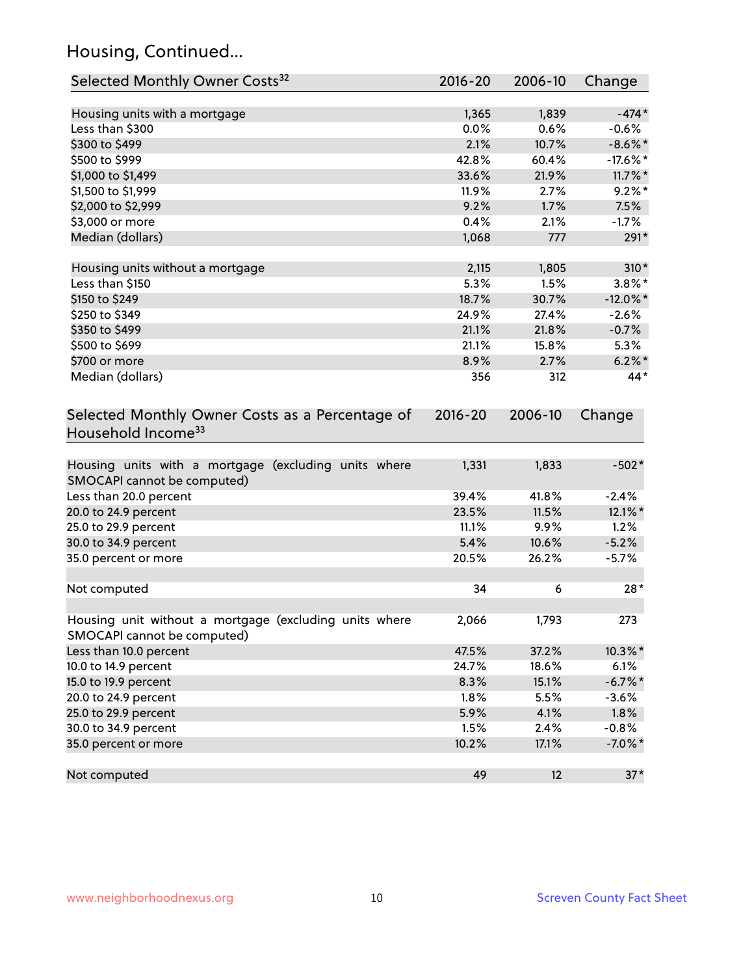# Housing, Continued...

| Selected Monthly Owner Costs <sup>32</sup>                                            | $2016 - 20$ | 2006-10 | Change      |
|---------------------------------------------------------------------------------------|-------------|---------|-------------|
| Housing units with a mortgage                                                         | 1,365       | 1,839   | $-474*$     |
| Less than \$300                                                                       | 0.0%        | 0.6%    | $-0.6%$     |
| \$300 to \$499                                                                        | 2.1%        | 10.7%   | $-8.6\%$ *  |
| \$500 to \$999                                                                        | 42.8%       | 60.4%   | $-17.6\%$ * |
| \$1,000 to \$1,499                                                                    | 33.6%       | 21.9%   | $11.7\%$ *  |
| \$1,500 to \$1,999                                                                    | 11.9%       | 2.7%    | $9.2\%$ *   |
| \$2,000 to \$2,999                                                                    | 9.2%        | 1.7%    | 7.5%        |
| \$3,000 or more                                                                       | 0.4%        | 2.1%    | $-1.7%$     |
| Median (dollars)                                                                      | 1,068       | 777     | 291*        |
| Housing units without a mortgage                                                      | 2,115       | 1,805   | $310*$      |
| Less than \$150                                                                       | 5.3%        | 1.5%    | $3.8\%$ *   |
| \$150 to \$249                                                                        | 18.7%       | 30.7%   | $-12.0\%$ * |
| \$250 to \$349                                                                        | 24.9%       | 27.4%   | $-2.6%$     |
| \$350 to \$499                                                                        | 21.1%       | 21.8%   | $-0.7%$     |
| \$500 to \$699                                                                        | 21.1%       | 15.8%   | 5.3%        |
| \$700 or more                                                                         | 8.9%        | 2.7%    | $6.2\%$ *   |
| Median (dollars)                                                                      | 356         | 312     | 44*         |
| Selected Monthly Owner Costs as a Percentage of<br>Household Income <sup>33</sup>     | $2016 - 20$ | 2006-10 | Change      |
| Housing units with a mortgage (excluding units where<br>SMOCAPI cannot be computed)   | 1,331       | 1,833   | $-502*$     |
| Less than 20.0 percent                                                                | 39.4%       | 41.8%   | $-2.4%$     |
| 20.0 to 24.9 percent                                                                  | 23.5%       | 11.5%   | 12.1%*      |
| 25.0 to 29.9 percent                                                                  | 11.1%       | 9.9%    | 1.2%        |
| 30.0 to 34.9 percent                                                                  | 5.4%        | 10.6%   | $-5.2%$     |
| 35.0 percent or more                                                                  | 20.5%       | 26.2%   | $-5.7%$     |
| Not computed                                                                          | 34          | 6       | $28*$       |
| Housing unit without a mortgage (excluding units where<br>SMOCAPI cannot be computed) | 2,066       | 1,793   | 273         |
| Less than 10.0 percent                                                                | 47.5%       | 37.2%   | $10.3\%$ *  |
| 10.0 to 14.9 percent                                                                  | 24.7%       | 18.6%   | 6.1%        |
| 15.0 to 19.9 percent                                                                  | 8.3%        | 15.1%   | $-6.7%$ *   |
| 20.0 to 24.9 percent                                                                  | 1.8%        | 5.5%    | $-3.6%$     |
| 25.0 to 29.9 percent                                                                  | 5.9%        | 4.1%    | 1.8%        |
| 30.0 to 34.9 percent                                                                  | 1.5%        | 2.4%    | $-0.8%$     |
| 35.0 percent or more                                                                  | 10.2%       | 17.1%   | $-7.0\%$ *  |
| Not computed                                                                          | 49          | 12      | $37*$       |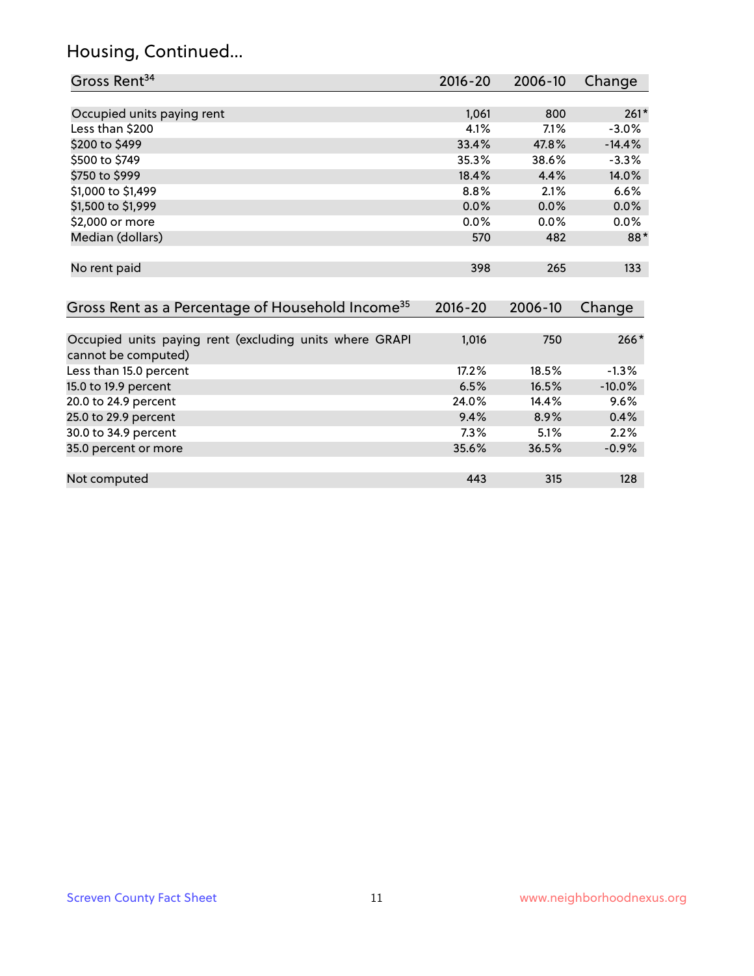# Housing, Continued...

| Gross Rent <sup>34</sup>                                                       | 2016-20     | $2006 - 10$ | Change   |
|--------------------------------------------------------------------------------|-------------|-------------|----------|
|                                                                                |             |             |          |
| Occupied units paying rent                                                     | 1,061       | 800         | $261*$   |
| Less than \$200                                                                | 4.1%        | 7.1%        | $-3.0%$  |
| \$200 to \$499                                                                 | 33.4%       | 47.8%       | $-14.4%$ |
| \$500 to \$749                                                                 | 35.3%       | 38.6%       | $-3.3%$  |
| \$750 to \$999                                                                 | 18.4%       | 4.4%        | 14.0%    |
| \$1,000 to \$1,499                                                             | 8.8%        | 2.1%        | 6.6%     |
| \$1,500 to \$1,999                                                             | $0.0\%$     | 0.0%        | 0.0%     |
| \$2,000 or more                                                                | 0.0%        | 0.0%        | 0.0%     |
| Median (dollars)                                                               | 570         | 482         | 88*      |
| No rent paid                                                                   | 398         | 265         | 133      |
| Gross Rent as a Percentage of Household Income <sup>35</sup>                   | $2016 - 20$ | 2006-10     | Change   |
| Occupied units paying rent (excluding units where GRAPI<br>cannot be computed) | 1,016       | 750         | $266*$   |
| Less than 15.0 percent                                                         | 17.2%       | 18.5%       | $-1.3%$  |
| 15.0 to 19.9 percent                                                           | 6.5%        | 16.5%       | $-10.0%$ |
| 20.0 to 24.9 percent                                                           | 24.0%       | 14.4%       | 9.6%     |
| 25.0 to 29.9 percent                                                           | 9.4%        | 8.9%        | 0.4%     |
| 30.0 to 34.9 percent                                                           | 7.3%        | 5.1%        | 2.2%     |
| 35.0 percent or more                                                           | 35.6%       | 36.5%       | $-0.9%$  |
| Not computed                                                                   | 443         | 315         | 128      |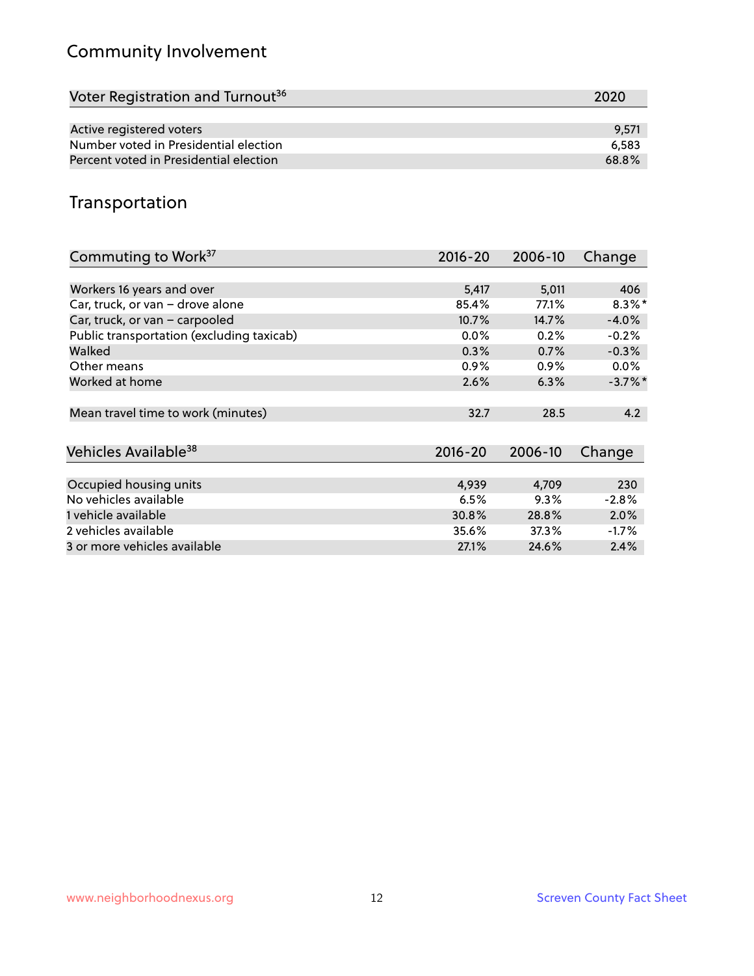# Community Involvement

| Voter Registration and Turnout <sup>36</sup> | 2020  |
|----------------------------------------------|-------|
|                                              |       |
| Active registered voters                     | 9.571 |
| Number voted in Presidential election        | 6.583 |
| Percent voted in Presidential election       | 68.8% |

# Transportation

| Commuting to Work <sup>37</sup>           | 2016-20     | 2006-10 | Change     |
|-------------------------------------------|-------------|---------|------------|
|                                           |             |         |            |
| Workers 16 years and over                 | 5,417       | 5,011   | 406        |
| Car, truck, or van - drove alone          | 85.4%       | 77.1%   | $8.3\%$ *  |
| Car, truck, or van - carpooled            | 10.7%       | 14.7%   | $-4.0%$    |
| Public transportation (excluding taxicab) | $0.0\%$     | 0.2%    | $-0.2%$    |
| Walked                                    | 0.3%        | 0.7%    | $-0.3%$    |
| Other means                               | 0.9%        | $0.9\%$ | $0.0\%$    |
| Worked at home                            | 2.6%        | 6.3%    | $-3.7\%$ * |
|                                           |             |         |            |
| Mean travel time to work (minutes)        | 32.7        | 28.5    | 4.2        |
|                                           |             |         |            |
| Vehicles Available <sup>38</sup>          | $2016 - 20$ | 2006-10 | Change     |
|                                           |             |         |            |
| Occupied housing units                    | 4,939       | 4,709   | 230        |
| No vehicles available                     | 6.5%        | 9.3%    | $-2.8%$    |
| 1 vehicle available                       | 30.8%       | 28.8%   | 2.0%       |
| 2 vehicles available                      | 35.6%       | 37.3%   | $-1.7\%$   |
| 3 or more vehicles available              | 27.1%       | 24.6%   | 2.4%       |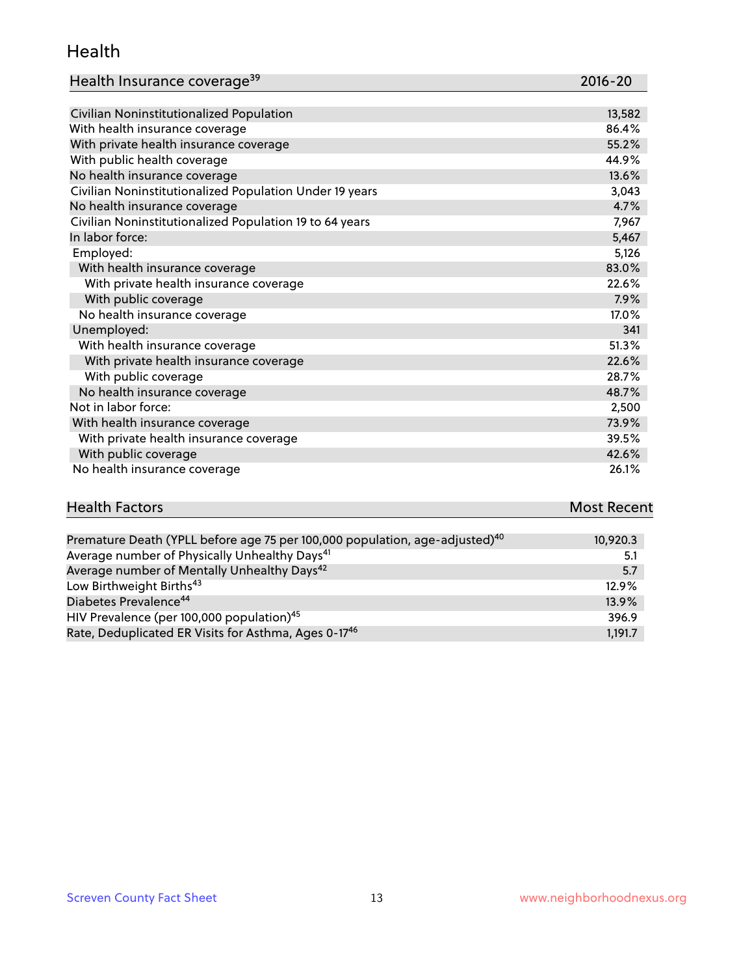#### Health

| Health Insurance coverage <sup>39</sup> | 2016-20 |
|-----------------------------------------|---------|
|-----------------------------------------|---------|

| Civilian Noninstitutionalized Population                | 13,582 |
|---------------------------------------------------------|--------|
| With health insurance coverage                          | 86.4%  |
| With private health insurance coverage                  | 55.2%  |
| With public health coverage                             | 44.9%  |
| No health insurance coverage                            | 13.6%  |
| Civilian Noninstitutionalized Population Under 19 years | 3,043  |
| No health insurance coverage                            | 4.7%   |
| Civilian Noninstitutionalized Population 19 to 64 years | 7,967  |
| In labor force:                                         | 5,467  |
| Employed:                                               | 5,126  |
| With health insurance coverage                          | 83.0%  |
| With private health insurance coverage                  | 22.6%  |
| With public coverage                                    | 7.9%   |
| No health insurance coverage                            | 17.0%  |
| Unemployed:                                             | 341    |
| With health insurance coverage                          | 51.3%  |
| With private health insurance coverage                  | 22.6%  |
| With public coverage                                    | 28.7%  |
| No health insurance coverage                            | 48.7%  |
| Not in labor force:                                     | 2,500  |
| With health insurance coverage                          | 73.9%  |
| With private health insurance coverage                  | 39.5%  |
| With public coverage                                    | 42.6%  |
| No health insurance coverage                            | 26.1%  |

| <b>Health Factors</b>                                                                   | <b>Most Recent</b> |  |
|-----------------------------------------------------------------------------------------|--------------------|--|
|                                                                                         |                    |  |
| Premature Death (YPLL before age 75 per 100,000 population, age-adjusted) <sup>40</sup> | 10,920.3           |  |
| Average number of Physically Unhealthy Days <sup>41</sup>                               | 5.1                |  |
| Average number of Mentally Unhealthy Days <sup>42</sup>                                 | 5.7                |  |

| Low Birthweight Births <sup>43</sup>                             | $12.9\%$ |
|------------------------------------------------------------------|----------|
| Diabetes Prevalence <sup>44</sup>                                | $13.9\%$ |
| HIV Prevalence (per 100,000 population) <sup>45</sup>            | 396.9    |
| Rate, Deduplicated ER Visits for Asthma, Ages 0-17 <sup>46</sup> | 1.191.7  |